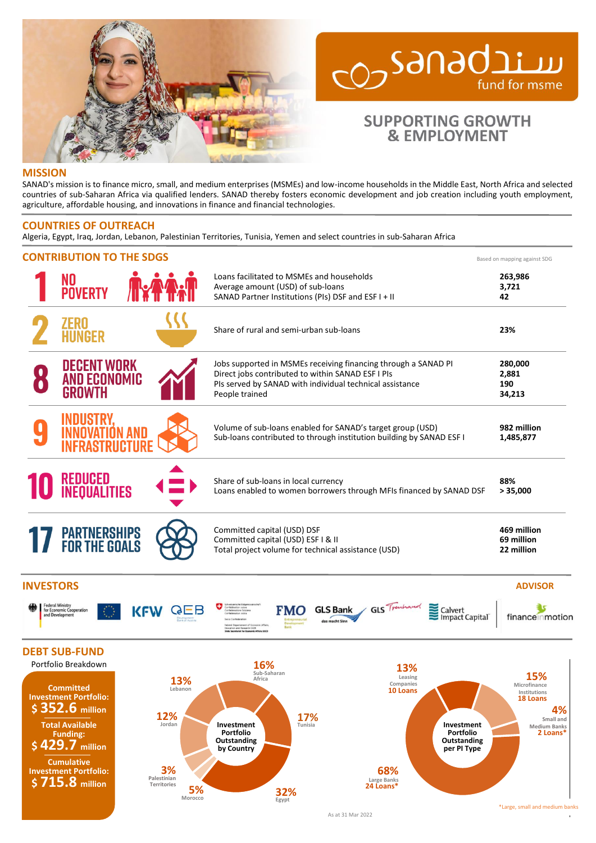

# ward CO<sub>2</sub>Sanadai fund for msme

# **SUPPORTING GROWTH & EMPLOYMENT**

### **MISSION**

SANAD's mission is to finance micro, small, and medium enterprises (MSMEs) and low-income households in the Middle East, North Africa and selected countries of sub-Saharan Africa via qualified lenders. SANAD thereby fosters economic development and job creation including youth employment, agriculture, affordable housing, and innovations in finance and financial technologies.

## **COUNTRIES OF OUTREACH**

Algeria, Egypt, Iraq, Jordan, Lebanon, Palestinian Territories, Tunisia, Yemen and select countries in sub-Saharan Africa